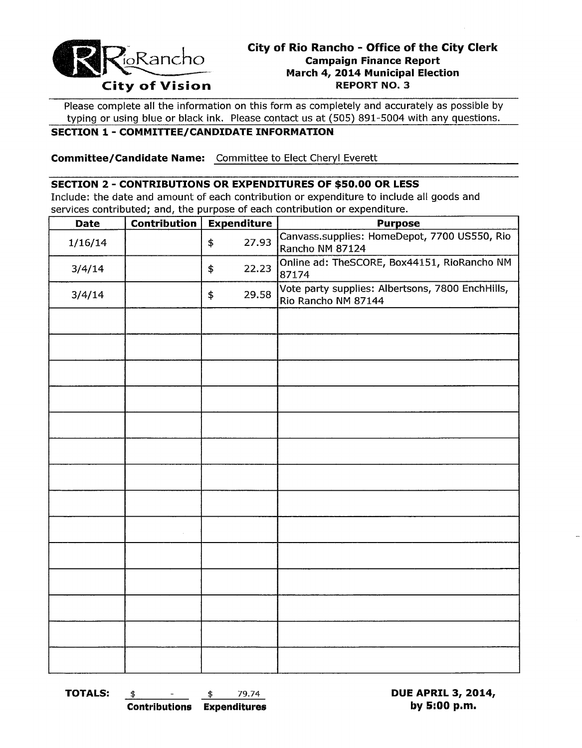

## **City of Rio Rancho - Office of the City Clerk Campaign Finance Report March 4, 2014 Municipal Election City of Vision REPORT NO.3**

Please complete all the information on this form as completely and accurately as possible by typing or using blue or black ink. Please contact us at (505) 891-5004 with any questions.

## **SECTION 1 - COMMITTEE/CANDIDATE INFORMATION**

**Committee/Candidate Name:** Committee to Elect Cheryl Everett

#### **SECTION 2 - CONTRIBUTIONS OR EXPENDITURES OF \$50.00 OR LESS**

Include: the date and amount of each contribution or expenditure to include all goods and services contributed; and, the purpose of each contribution or expenditure.

| <b>Date</b> | Contribution | <b>Expenditure</b> | <b>Purpose</b>                                                          |
|-------------|--------------|--------------------|-------------------------------------------------------------------------|
| 1/16/14     |              | 27.93<br>\$        | Canvass.supplies: HomeDepot, 7700 US550, Rio<br>Rancho NM 87124         |
| 3/4/14      |              | 22.23<br>\$        | Online ad: TheSCORE, Box44151, RioRancho NM<br>87174                    |
| 3/4/14      |              | 29.58<br>\$        | Vote party supplies: Albertsons, 7800 EnchHills,<br>Rio Rancho NM 87144 |
|             |              |                    |                                                                         |
|             |              |                    |                                                                         |
|             |              |                    |                                                                         |
|             |              |                    |                                                                         |
|             |              |                    |                                                                         |
|             |              |                    |                                                                         |
|             |              |                    |                                                                         |
|             |              |                    |                                                                         |
|             | $\lambda$    |                    |                                                                         |
|             |              |                    |                                                                         |
|             |              |                    |                                                                         |
|             |              |                    |                                                                         |
|             |              |                    |                                                                         |
|             |              |                    |                                                                         |

**TOTALS:**  $\frac{1}{3}$  **bue APRIL 3, 2014, Contributions Expenditures by 5:00 p.m.**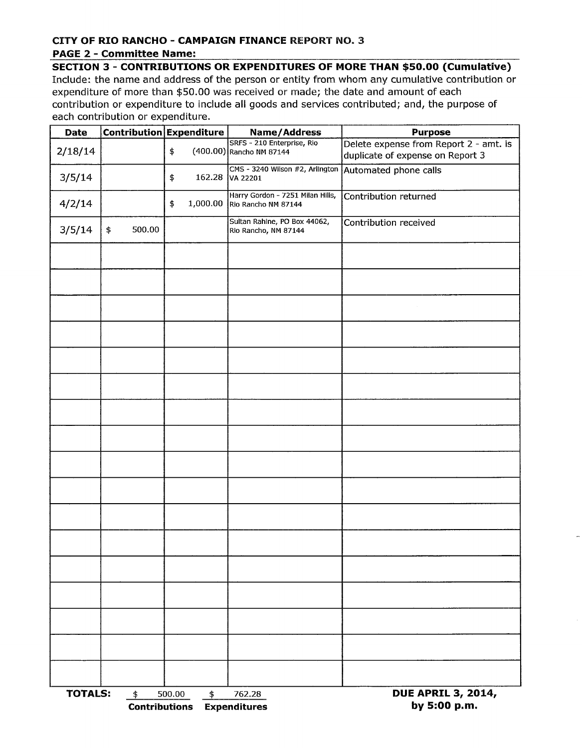# **CITY OF RIO RANCHO - CAMPAIGN FINANCE** REPORT NO.3

#### **PAGE 2 - Committee Name:**

**SECTION 3 - CONTRIBUTIONS OR EXPENDITURES OF MORE THAN \$50.00 (Cumulative)** 

Include: the name and address of the person or entity from whom any cumulative contributjon or expenditure of more than \$50.00 was received or made; the date and amount of each contribution or expenditure to include all goods and services contributed; and, the purpose of each contribution or expenditure.

| <b>Date</b>                                  |              | Contribution Expenditure | Name/Address                                            | <b>Purpose</b>                                                             |  |  |  |
|----------------------------------------------|--------------|--------------------------|---------------------------------------------------------|----------------------------------------------------------------------------|--|--|--|
| 2/18/14                                      |              | \$                       | SRFS - 210 Enterprise, Rio<br>(400.00) Rancho NM 87144  | Delete expense from Report 2 - amt. is<br>duplicate of expense on Report 3 |  |  |  |
| 3/5/14                                       |              | \$                       | CMS - 3240 Wilson #2, Arlington<br>162.28 VA 22201      | Automated phone calls                                                      |  |  |  |
| 4/2/14                                       |              | 1,000.00<br>\$           | Harry Gordon - 7251 Milan Hills,<br>Rio Rancho NM 87144 | Contribution returned                                                      |  |  |  |
| 3/5/14                                       | 500.00<br>\$ |                          | Sultan Rahine, PO Box 44062,<br>Rio Rancho, NM 87144    | Contribution received                                                      |  |  |  |
|                                              |              |                          |                                                         |                                                                            |  |  |  |
|                                              |              |                          |                                                         |                                                                            |  |  |  |
|                                              |              |                          |                                                         |                                                                            |  |  |  |
|                                              |              |                          |                                                         |                                                                            |  |  |  |
|                                              |              |                          |                                                         |                                                                            |  |  |  |
|                                              |              |                          |                                                         |                                                                            |  |  |  |
|                                              |              |                          |                                                         |                                                                            |  |  |  |
|                                              |              |                          |                                                         |                                                                            |  |  |  |
|                                              |              |                          |                                                         |                                                                            |  |  |  |
|                                              |              |                          |                                                         |                                                                            |  |  |  |
|                                              |              |                          |                                                         |                                                                            |  |  |  |
|                                              |              |                          |                                                         |                                                                            |  |  |  |
|                                              |              |                          |                                                         |                                                                            |  |  |  |
|                                              |              |                          |                                                         |                                                                            |  |  |  |
|                                              |              |                          |                                                         |                                                                            |  |  |  |
|                                              |              |                          |                                                         |                                                                            |  |  |  |
|                                              |              |                          |                                                         |                                                                            |  |  |  |
| <b>TOTALS:</b><br>\$<br><b>Contributions</b> |              | 500.00<br>\$             | 762.28<br><b>Expenditures</b>                           | <b>DUE APRIL 3, 2014,</b><br>by 5:00 p.m.                                  |  |  |  |